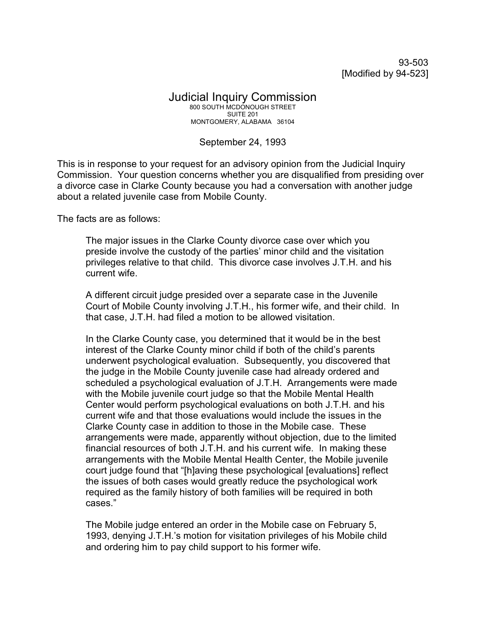93-503 [Modified by 94-523]

## Judicial Inquiry Commission 800 SOUTH MCDONOUGH STREET SUITE 201 MONTGOMERY, ALABAMA 36104

## September 24, 1993

This is in response to your request for an advisory opinion from the Judicial Inquiry Commission. Your question concerns whether you are disqualified from presiding over a divorce case in Clarke County because you had a conversation with another judge about a related juvenile case from Mobile County.

The facts are as follows:

The major issues in the Clarke County divorce case over which you preside involve the custody of the parties' minor child and the visitation privileges relative to that child. This divorce case involves J.T.H. and his current wife.

A different circuit judge presided over a separate case in the Juvenile Court of Mobile County involving J.T.H., his former wife, and their child. In that case, J.T.H. had filed a motion to be allowed visitation.

In the Clarke County case, you determined that it would be in the best interest of the Clarke County minor child if both of the child's parents underwent psychological evaluation. Subsequently, you discovered that the judge in the Mobile County juvenile case had already ordered and scheduled a psychological evaluation of J.T.H. Arrangements were made with the Mobile juvenile court judge so that the Mobile Mental Health Center would perform psychological evaluations on both J.T.H. and his current wife and that those evaluations would include the issues in the Clarke County case in addition to those in the Mobile case. These arrangements were made, apparently without objection, due to the limited financial resources of both J.T.H. and his current wife. In making these arrangements with the Mobile Mental Health Center, the Mobile juvenile court judge found that "[h]aving these psychological [evaluations] reflect the issues of both cases would greatly reduce the psychological work required as the family history of both families will be required in both cases."

The Mobile judge entered an order in the Mobile case on February 5, 1993, denying J.T.H.'s motion for visitation privileges of his Mobile child and ordering him to pay child support to his former wife.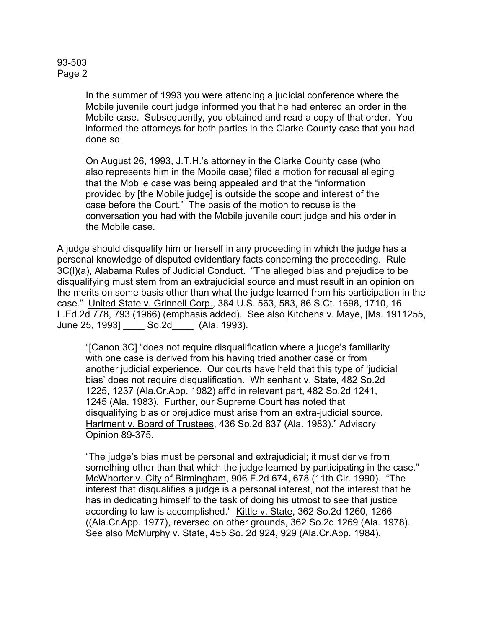## 93-503 Page 2

In the summer of 1993 you were attending a judicial conference where the Mobile juvenile court judge informed you that he had entered an order in the Mobile case. Subsequently, you obtained and read a copy of that order. You informed the attorneys for both parties in the Clarke County case that you had done so.

On August 26, 1993, J.T.H.'s attorney in the Clarke County case (who also represents him in the Mobile case) filed a motion for recusal alleging that the Mobile case was being appealed and that the "information provided by [the Mobile judge] is outside the scope and interest of the case before the Court." The basis of the motion to recuse is the conversation you had with the Mobile juvenile court judge and his order in the Mobile case.

A judge should disqualify him or herself in any proceeding in which the judge has a personal knowledge of disputed evidentiary facts concerning the proceeding. Rule 3C(l)(a), Alabama Rules of Judicial Conduct. "The alleged bias and prejudice to be disqualifying must stem from an extrajudicial source and must result in an opinion on the merits on some basis other than what the judge learned from his participation in the case." United State v. Grinnell Corp., 384 U.S. 563, 583, 86 S.Ct. 1698, 1710, 16 L.Ed.2d 778, 793 (1966) (emphasis added). See also Kitchens v. Maye, [Ms. 1911255, June 25, 1993] \_\_\_\_ So.2d\_\_\_\_ (Ala. 1993).

"[Canon 3C] "does not require disqualification where a judge's familiarity with one case is derived from his having tried another case or from another judicial experience. Our courts have held that this type of 'judicial bias' does not require disqualification. Whisenhant v. State, 482 So.2d 1225, 1237 (Ala.Cr.App. 1982) aff'd in relevant part, 482 So.2d 1241, 1245 (Ala. 1983). Further, our Supreme Court has noted that disqualifying bias or prejudice must arise from an extra-judicial source. Hartment v. Board of Trustees, 436 So.2d 837 (Ala. 1983)." Advisory Opinion 89-375.

"The judge's bias must be personal and extrajudicial; it must derive from something other than that which the judge learned by participating in the case." McWhorter v. City of Birmingham, 906 F.2d 674, 678 (11th Cir. 1990). "The interest that disqualifies a judge is a personal interest, not the interest that he has in dedicating himself to the task of doing his utmost to see that justice according to law is accomplished." Kittle v. State, 362 So.2d 1260, 1266 ((Ala.Cr.App. 1977), reversed on other grounds, 362 So.2d 1269 (Ala. 1978). See also McMurphy v. State, 455 So. 2d 924, 929 (Ala.Cr.App. 1984).